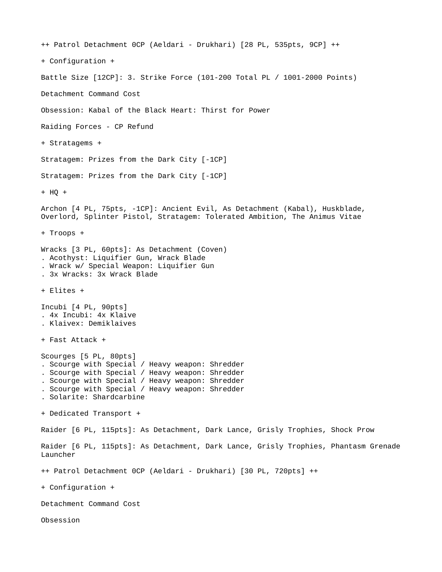++ Patrol Detachment 0CP (Aeldari - Drukhari) [28 PL, 535pts, 9CP] ++ + Configuration + Battle Size [12CP]: 3. Strike Force (101-200 Total PL / 1001-2000 Points) Detachment Command Cost Obsession: Kabal of the Black Heart: Thirst for Power Raiding Forces - CP Refund + Stratagems + Stratagem: Prizes from the Dark City [-1CP] Stratagem: Prizes from the Dark City [-1CP] + HQ + Archon [4 PL, 75pts, -1CP]: Ancient Evil, As Detachment (Kabal), Huskblade, Overlord, Splinter Pistol, Stratagem: Tolerated Ambition, The Animus Vitae + Troops + Wracks [3 PL, 60pts]: As Detachment (Coven) . Acothyst: Liquifier Gun, Wrack Blade . Wrack w/ Special Weapon: Liquifier Gun . 3x Wracks: 3x Wrack Blade + Elites + Incubi [4 PL, 90pts] . 4x Incubi: 4x Klaive . Klaivex: Demiklaives + Fast Attack + Scourges [5 PL, 80pts] . Scourge with Special / Heavy weapon: Shredder . Scourge with Special / Heavy weapon: Shredder . Scourge with Special / Heavy weapon: Shredder . Scourge with Special / Heavy weapon: Shredder . Solarite: Shardcarbine + Dedicated Transport + Raider [6 PL, 115pts]: As Detachment, Dark Lance, Grisly Trophies, Shock Prow Raider [6 PL, 115pts]: As Detachment, Dark Lance, Grisly Trophies, Phantasm Grenade Launcher ++ Patrol Detachment 0CP (Aeldari - Drukhari) [30 PL, 720pts] ++ + Configuration + Detachment Command Cost Obsession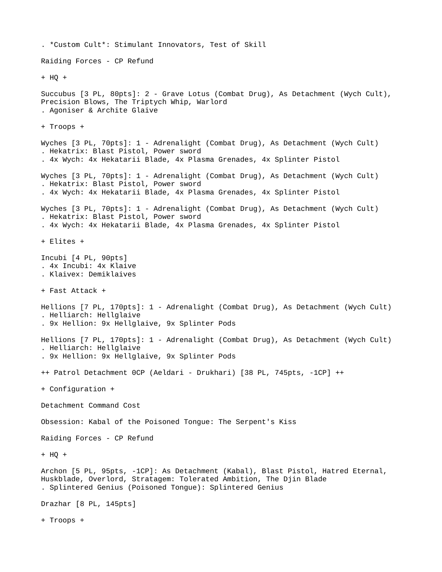```
. *Custom Cult*: Stimulant Innovators, Test of Skill
Raiding Forces - CP Refund
+ HQ +
Succubus [3 PL, 80pts]: 2 - Grave Lotus (Combat Drug), As Detachment (Wych Cult), 
Precision Blows, The Triptych Whip, Warlord
. Agoniser & Archite Glaive
+ Troops +
Wyches [3 PL, 70pts]: 1 - Adrenalight (Combat Drug), As Detachment (Wych Cult)
. Hekatrix: Blast Pistol, Power sword
. 4x Wych: 4x Hekatarii Blade, 4x Plasma Grenades, 4x Splinter Pistol
Wyches [3 PL, 70pts]: 1 - Adrenalight (Combat Drug), As Detachment (Wych Cult)
. Hekatrix: Blast Pistol, Power sword
. 4x Wych: 4x Hekatarii Blade, 4x Plasma Grenades, 4x Splinter Pistol
Wyches [3 PL, 70pts]: 1 - Adrenalight (Combat Drug), As Detachment (Wych Cult)
. Hekatrix: Blast Pistol, Power sword
. 4x Wych: 4x Hekatarii Blade, 4x Plasma Grenades, 4x Splinter Pistol
+ Elites +
Incubi [4 PL, 90pts]
. 4x Incubi: 4x Klaive
. Klaivex: Demiklaives
+ Fast Attack +
Hellions [7 PL, 170pts]: 1 - Adrenalight (Combat Drug), As Detachment (Wych Cult)
. Helliarch: Hellglaive
. 9x Hellion: 9x Hellglaive, 9x Splinter Pods
Hellions [7 PL, 170pts]: 1 - Adrenalight (Combat Drug), As Detachment (Wych Cult)
. Helliarch: Hellglaive
. 9x Hellion: 9x Hellglaive, 9x Splinter Pods
++ Patrol Detachment 0CP (Aeldari - Drukhari) [38 PL, 745pts, -1CP] ++
+ Configuration +
Detachment Command Cost
Obsession: Kabal of the Poisoned Tongue: The Serpent's Kiss
Raiding Forces - CP Refund
+ HQ +
Archon [5 PL, 95pts, -1CP]: As Detachment (Kabal), Blast Pistol, Hatred Eternal, 
Huskblade, Overlord, Stratagem: Tolerated Ambition, The Djin Blade
. Splintered Genius (Poisoned Tongue): Splintered Genius
Drazhar [8 PL, 145pts]
+ Troops +
```